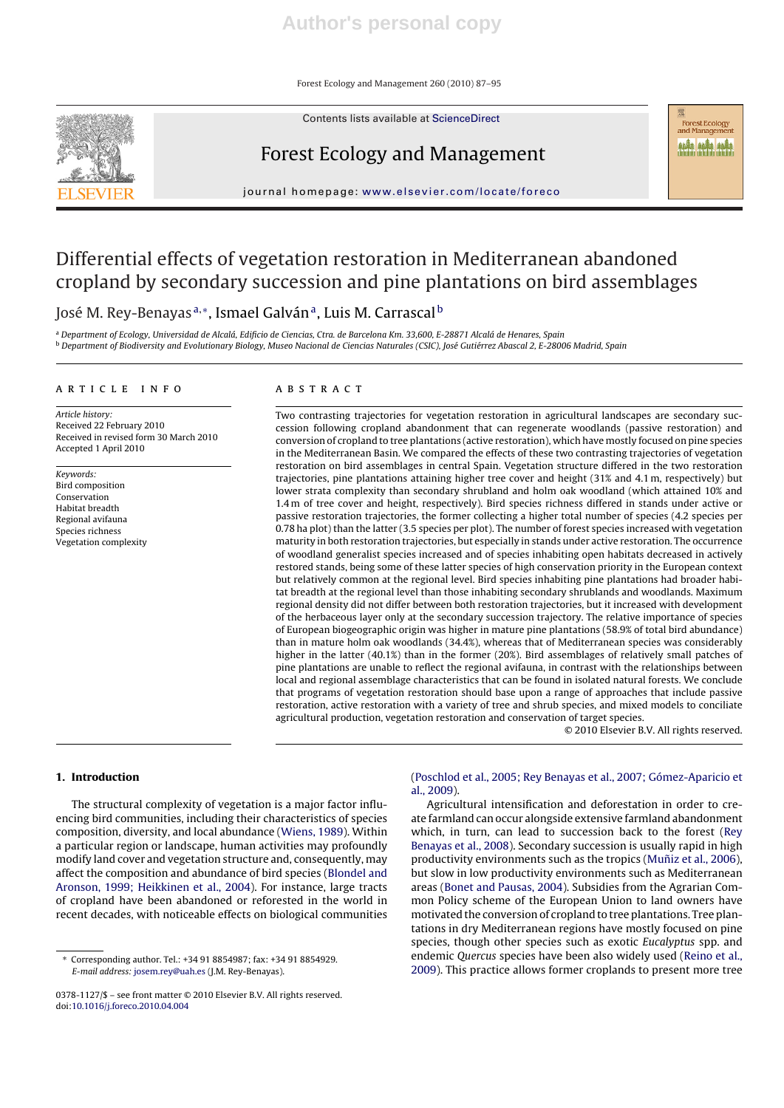Forest Ecology and Management 260 (2010) 87–95

Contents lists available at ScienceDirect



# Forest Ecology and Management

Forest Ecology<br>and Management **MA MA MA** 

journal homepage: www.elsevier.com/locate/foreco

# Differential effects of vegetation restoration in Mediterranean abandoned cropland by secondary succession and pine plantations on bird assemblages

José M. Rey-Benayas <sup>a</sup>,∗, Ismael Galvána, Luis M. Carrascal <sup>b</sup>

<sup>a</sup> Department of Ecology, Universidad de Alcalá, Edificio de Ciencias, Ctra. de Barcelona Km. 33,600, E-28871 Alcalá de Henares, Spain <sup>b</sup> Department of Biodiversity and Evolutionary Biology, Museo Nacional de Ciencias Naturales (CSIC), José Gutiérrez Abascal 2, E-28006 Madrid, Spain

### article info

Article history: Received 22 February 2010 Received in revised form 30 March 2010 Accepted 1 April 2010

Keywords: Bird composition Conservation Habitat breadth Regional avifauna Species richness Vegetation complexity

### **ABSTRACT**

Two contrasting trajectories for vegetation restoration in agricultural landscapes are secondary succession following cropland abandonment that can regenerate woodlands (passive restoration) and conversion of cropland to tree plantations (active restoration), which have mostly focused on pine species in the Mediterranean Basin. We compared the effects of these two contrasting trajectories of vegetation restoration on bird assemblages in central Spain. Vegetation structure differed in the two restoration trajectories, pine plantations attaining higher tree cover and height (31% and 4.1 m, respectively) but lower strata complexity than secondary shrubland and holm oak woodland (which attained 10% and 1.4 m of tree cover and height, respectively). Bird species richness differed in stands under active or passive restoration trajectories, the former collecting a higher total number of species (4.2 species per 0.78 ha plot) than the latter (3.5 species per plot). The number of forest species increased with vegetation maturity in both restoration trajectories, but especially in stands under active restoration. The occurrence of woodland generalist species increased and of species inhabiting open habitats decreased in actively restored stands, being some of these latter species of high conservation priority in the European context but relatively common at the regional level. Bird species inhabiting pine plantations had broader habitat breadth at the regional level than those inhabiting secondary shrublands and woodlands. Maximum regional density did not differ between both restoration trajectories, but it increased with development of the herbaceous layer only at the secondary succession trajectory. The relative importance of species of European biogeographic origin was higher in mature pine plantations (58.9% of total bird abundance) than in mature holm oak woodlands (34.4%), whereas that of Mediterranean species was considerably higher in the latter (40.1%) than in the former (20%). Bird assemblages of relatively small patches of pine plantations are unable to reflect the regional avifauna, in contrast with the relationships between local and regional assemblage characteristics that can be found in isolated natural forests. We conclude that programs of vegetation restoration should base upon a range of approaches that include passive restoration, active restoration with a variety of tree and shrub species, and mixed models to conciliate agricultural production, vegetation restoration and conservation of target species.

© 2010 Elsevier B.V. All rights reserved.

### **1. Introduction**

The structural complexity of vegetation is a major factor influencing bird communities, including their characteristics of species composition, diversity, and local abundance (Wiens, 1989). Within a particular region or landscape, human activities may profoundly modify land cover and vegetation structure and, consequently, may affect the composition and abundance of bird species (Blondel and Aronson, 1999; Heikkinen et al., 2004). For instance, large tracts of cropland have been abandoned or reforested in the world in recent decades, with noticeable effects on biological communities (Poschlod et al., 2005; Rey Benayas et al., 2007; Gómez-Aparicio et al., 2009).

Agricultural intensification and deforestation in order to create farmland can occur alongside extensive farmland abandonment which, in turn, can lead to succession back to the forest (Rey Benayas et al., 2008). Secondary succession is usually rapid in high productivity environments such as the tropics (Muñiz et al., 2006), but slow in low productivity environments such as Mediterranean areas (Bonet and Pausas, 2004). Subsidies from the Agrarian Common Policy scheme of the European Union to land owners have motivated the conversion of cropland to tree plantations. Tree plantations in dry Mediterranean regions have mostly focused on pine species, though other species such as exotic Eucalyptus spp. and endemic Quercus species have been also widely used (Reino et al., 2009). This practice allows former croplands to present more tree

<sup>∗</sup> Corresponding author. Tel.: +34 91 8854987; fax: +34 91 8854929. E-mail address: josem.rey@uah.es (J.M. Rey-Benayas).

<sup>0378-1127/\$ –</sup> see front matter © 2010 Elsevier B.V. All rights reserved. doi:10.1016/j.foreco.2010.04.004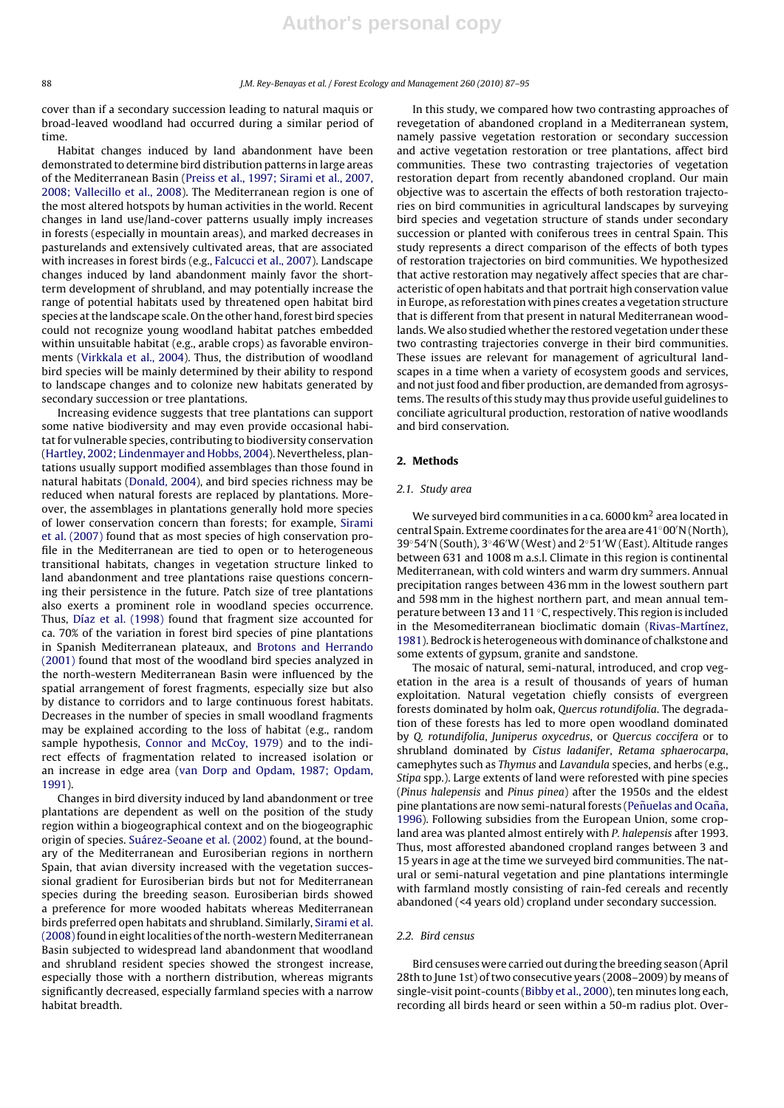#### 88 J.M. Rey-Benayas et al. / Forest Ecology and Management 260 (2010) 87–95

cover than if a secondary succession leading to natural maquis or broad-leaved woodland had occurred during a similar period of time

Habitat changes induced by land abandonment have been demonstrated to determine bird distribution patterns in large areas of the Mediterranean Basin (Preiss et al., 1997; Sirami et al., 2007, 2008; Vallecillo et al., 2008). The Mediterranean region is one of the most altered hotspots by human activities in the world. Recent changes in land use/land-cover patterns usually imply increases in forests (especially in mountain areas), and marked decreases in pasturelands and extensively cultivated areas, that are associated with increases in forest birds (e.g., Falcucci et al., 2007). Landscape changes induced by land abandonment mainly favor the shortterm development of shrubland, and may potentially increase the range of potential habitats used by threatened open habitat bird species at the landscape scale. On the other hand, forest bird species could not recognize young woodland habitat patches embedded within unsuitable habitat (e.g., arable crops) as favorable environments (Virkkala et al., 2004). Thus, the distribution of woodland bird species will be mainly determined by their ability to respond to landscape changes and to colonize new habitats generated by secondary succession or tree plantations.

Increasing evidence suggests that tree plantations can support some native biodiversity and may even provide occasional habitat for vulnerable species, contributing to biodiversity conservation (Hartley, 2002; Lindenmayer and Hobbs, 2004). Nevertheless, plantations usually support modified assemblages than those found in natural habitats (Donald, 2004), and bird species richness may be reduced when natural forests are replaced by plantations. Moreover, the assemblages in plantations generally hold more species of lower conservation concern than forests; for example, Sirami et al. (2007) found that as most species of high conservation profile in the Mediterranean are tied to open or to heterogeneous transitional habitats, changes in vegetation structure linked to land abandonment and tree plantations raise questions concerning their persistence in the future. Patch size of tree plantations also exerts a prominent role in woodland species occurrence. Thus, Díaz et al. (1998) found that fragment size accounted for ca. 70% of the variation in forest bird species of pine plantations in Spanish Mediterranean plateaux, and Brotons and Herrando (2001) found that most of the woodland bird species analyzed in the north-western Mediterranean Basin were influenced by the spatial arrangement of forest fragments, especially size but also by distance to corridors and to large continuous forest habitats. Decreases in the number of species in small woodland fragments may be explained according to the loss of habitat (e.g., random sample hypothesis, Connor and McCoy, 1979) and to the indirect effects of fragmentation related to increased isolation or an increase in edge area (van Dorp and Opdam, 1987; Opdam, 1991).

Changes in bird diversity induced by land abandonment or tree plantations are dependent as well on the position of the study region within a biogeographical context and on the biogeographic origin of species. Suárez-Seoane et al. (2002) found, at the boundary of the Mediterranean and Eurosiberian regions in northern Spain, that avian diversity increased with the vegetation successional gradient for Eurosiberian birds but not for Mediterranean species during the breeding season. Eurosiberian birds showed a preference for more wooded habitats whereas Mediterranean birds preferred open habitats and shrubland. Similarly, Sirami et al. (2008)found in eight localities of the north-western Mediterranean Basin subjected to widespread land abandonment that woodland and shrubland resident species showed the strongest increase, especially those with a northern distribution, whereas migrants significantly decreased, especially farmland species with a narrow habitat breadth.

In this study, we compared how two contrasting approaches of revegetation of abandoned cropland in a Mediterranean system, namely passive vegetation restoration or secondary succession and active vegetation restoration or tree plantations, affect bird communities. These two contrasting trajectories of vegetation restoration depart from recently abandoned cropland. Our main objective was to ascertain the effects of both restoration trajectories on bird communities in agricultural landscapes by surveying bird species and vegetation structure of stands under secondary succession or planted with coniferous trees in central Spain. This study represents a direct comparison of the effects of both types of restoration trajectories on bird communities. We hypothesized that active restoration may negatively affect species that are characteristic of open habitats and that portrait high conservation value in Europe, as reforestation with pines creates a vegetation structure that is different from that present in natural Mediterranean woodlands.We also studied whether the restored vegetation under these two contrasting trajectories converge in their bird communities. These issues are relevant for management of agricultural landscapes in a time when a variety of ecosystem goods and services, and not just food and fiber production, are demanded from agrosystems. The results of this study may thus provide useful guidelines to conciliate agricultural production, restoration of native woodlands and bird conservation.

### **2. Methods**

### 2.1. Study area

We surveyed bird communities in a ca. 6000 km<sup>2</sup> area located in central Spain. Extreme coordinates for the area are 41◦00 N (North), 39◦54 N (South), 3◦46 W (West) and 2◦51 W (East). Altitude ranges between 631 and 1008 m a.s.l. Climate in this region is continental Mediterranean, with cold winters and warm dry summers. Annual precipitation ranges between 436 mm in the lowest southern part and 598 mm in the highest northern part, and mean annual temperature between 13 and 11 ◦C, respectively. This region is included in the Mesomediterranean bioclimatic domain (Rivas-Martínez, 1981). Bedrock is heterogeneous with dominance of chalkstone and some extents of gypsum, granite and sandstone.

The mosaic of natural, semi-natural, introduced, and crop vegetation in the area is a result of thousands of years of human exploitation. Natural vegetation chiefly consists of evergreen forests dominated by holm oak, Quercus rotundifolia. The degradation of these forests has led to more open woodland dominated by Q. rotundifolia, Juniperus oxycedrus, or Quercus coccifera or to shrubland dominated by Cistus ladanifer, Retama sphaerocarpa, camephytes such as Thymus and Lavandula species, and herbs (e.g., Stipa spp.). Large extents of land were reforested with pine species (Pinus halepensis and Pinus pinea) after the 1950s and the eldest pine plantations are now semi-natural forests (Peñuelas and Ocaña, 1996). Following subsidies from the European Union, some cropland area was planted almost entirely with P. halepensis after 1993. Thus, most afforested abandoned cropland ranges between 3 and 15 years in age at the time we surveyed bird communities. The natural or semi-natural vegetation and pine plantations intermingle with farmland mostly consisting of rain-fed cereals and recently abandoned (<4 years old) cropland under secondary succession.

#### 2.2. Bird census

Bird censuses were carried out during the breeding season (April 28th to June 1st) of two consecutive years (2008–2009) by means of single-visit point-counts (Bibby et al., 2000), ten minutes long each, recording all birds heard or seen within a 50-m radius plot. Over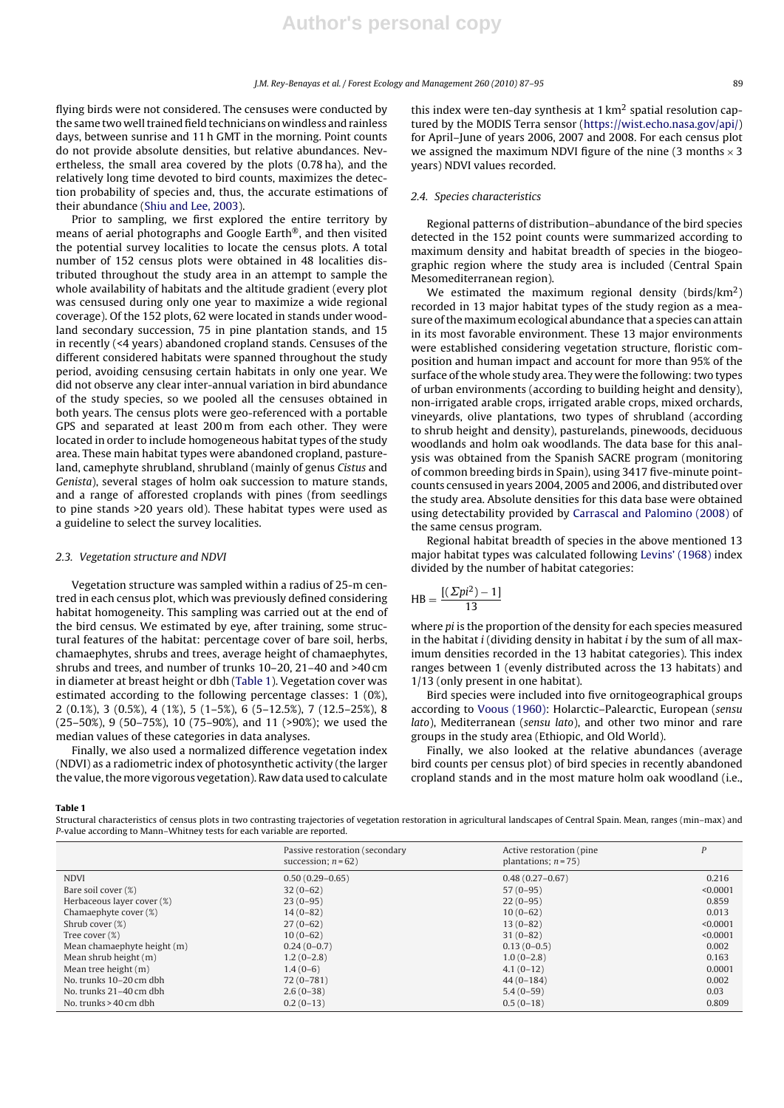flying birds were not considered. The censuses were conducted by the same two well trained field technicians on windless and rainless days, between sunrise and 11 h GMT in the morning. Point counts do not provide absolute densities, but relative abundances. Nevertheless, the small area covered by the plots (0.78 ha), and the relatively long time devoted to bird counts, maximizes the detection probability of species and, thus, the accurate estimations of their abundance (Shiu and Lee, 2003).

Prior to sampling, we first explored the entire territory by means of aerial photographs and Google Earth®, and then visited the potential survey localities to locate the census plots. A total number of 152 census plots were obtained in 48 localities distributed throughout the study area in an attempt to sample the whole availability of habitats and the altitude gradient (every plot was censused during only one year to maximize a wide regional coverage). Of the 152 plots, 62 were located in stands under woodland secondary succession, 75 in pine plantation stands, and 15 in recently (<4 years) abandoned cropland stands. Censuses of the different considered habitats were spanned throughout the study period, avoiding censusing certain habitats in only one year. We did not observe any clear inter-annual variation in bird abundance of the study species, so we pooled all the censuses obtained in both years. The census plots were geo-referenced with a portable GPS and separated at least 200 m from each other. They were located in order to include homogeneous habitat types of the study area. These main habitat types were abandoned cropland, pastureland, camephyte shrubland, shrubland (mainly of genus Cistus and Genista), several stages of holm oak succession to mature stands, and a range of afforested croplands with pines (from seedlings to pine stands >20 years old). These habitat types were used as a guideline to select the survey localities.

#### 2.3. Vegetation structure and NDVI

Vegetation structure was sampled within a radius of 25-m centred in each census plot, which was previously defined considering habitat homogeneity. This sampling was carried out at the end of the bird census. We estimated by eye, after training, some structural features of the habitat: percentage cover of bare soil, herbs, chamaephytes, shrubs and trees, average height of chamaephytes, shrubs and trees, and number of trunks 10–20, 21–40 and >40 cm in diameter at breast height or dbh (Table 1). Vegetation cover was estimated according to the following percentage classes: 1 (0%), 2 (0.1%), 3 (0.5%), 4 (1%), 5 (1–5%), 6 (5–12.5%), 7 (12.5–25%), 8 (25–50%), 9 (50–75%), 10 (75–90%), and 11 (>90%); we used the median values of these categories in data analyses.

Finally, we also used a normalized difference vegetation index (NDVI) as a radiometric index of photosynthetic activity (the larger the value, the more vigorous vegetation). Raw data used to calculate this index were ten-day synthesis at 1 km2 spatial resolution captured by the MODIS Terra sensor (https://wist.echo.nasa.gov/api/) for April–June of years 2006, 2007 and 2008. For each census plot we assigned the maximum NDVI figure of the nine (3 months  $\times$  3 years) NDVI values recorded.

### 2.4. Species characteristics

Regional patterns of distribution–abundance of the bird species detected in the 152 point counts were summarized according to maximum density and habitat breadth of species in the biogeographic region where the study area is included (Central Spain Mesomediterranean region).

We estimated the maximum regional density (birds/km<sup>2</sup>) recorded in 13 major habitat types of the study region as a measure of the maximum ecological abundance that a species can attain in its most favorable environment. These 13 major environments were established considering vegetation structure, floristic composition and human impact and account for more than 95% of the surface of the whole study area. They were the following: two types of urban environments (according to building height and density), non-irrigated arable crops, irrigated arable crops, mixed orchards, vineyards, olive plantations, two types of shrubland (according to shrub height and density), pasturelands, pinewoods, deciduous woodlands and holm oak woodlands. The data base for this analysis was obtained from the Spanish SACRE program (monitoring of common breeding birds in Spain), using 3417 five-minute pointcounts censused in years 2004, 2005 and 2006, and distributed over the study area. Absolute densities for this data base were obtained using detectability provided by Carrascal and Palomino (2008) of the same census program.

Regional habitat breadth of species in the above mentioned 13 major habitat types was calculated following Levins' (1968) index divided by the number of habitat categories:

$$
HB = \frac{[(\Sigma pi^2) - 1]}{13}
$$

where *pi* is the proportion of the density for each species measured in the habitat  $i$  (dividing density in habitat  $i$  by the sum of all maximum densities recorded in the 13 habitat categories). This index ranges between 1 (evenly distributed across the 13 habitats) and 1/13 (only present in one habitat).

Bird species were included into five ornitogeographical groups according to Voous (1960): Holarctic–Palearctic, European (sensu lato), Mediterranean (sensu lato), and other two minor and rare groups in the study area (Ethiopic, and Old World).

Finally, we also looked at the relative abundances (average bird counts per census plot) of bird species in recently abandoned cropland stands and in the most mature holm oak woodland (i.e.,

#### **Table 1**

Structural characteristics of census plots in two contrasting trajectories of vegetation restoration in agricultural landscapes of Central Spain. Mean, ranges (min–max) and P-value according to Mann–Whitney tests for each variable are reported.

|                             | Passive restoration (secondary<br>succession; $n = 62$ ) | Active restoration (pine<br>plantations; $n = 75$ ) | P        |
|-----------------------------|----------------------------------------------------------|-----------------------------------------------------|----------|
| <b>NDVI</b>                 | $0.50(0.29 - 0.65)$                                      | $0.48(0.27 - 0.67)$                                 | 0.216    |
| Bare soil cover (%)         | $32(0-62)$                                               | $57(0-95)$                                          | < 0.0001 |
| Herbaceous layer cover (%)  | $23(0-95)$                                               | $22(0-95)$                                          | 0.859    |
| Chamaephyte cover (%)       | $14(0-82)$                                               | $10(0-62)$                                          | 0.013    |
| Shrub cover $(\%)$          | $27(0-62)$                                               | $13(0-82)$                                          | < 0.0001 |
| Tree cover $(\%)$           | $10(0-62)$                                               | $31(0-82)$                                          | < 0.0001 |
| Mean chamaephyte height (m) | $0.24(0-0.7)$                                            | $0.13(0-0.5)$                                       | 0.002    |
| Mean shrub height $(m)$     | $1.2(0-2.8)$                                             | $1.0(0-2.8)$                                        | 0.163    |
| Mean tree height $(m)$      | $1.4(0-6)$                                               | $4.1(0-12)$                                         | 0.0001   |
| No. trunks 10–20 cm dbh     | $72(0 - 781)$                                            | $44(0-184)$                                         | 0.002    |
| No. trunks $21-40$ cm dbh   | $2.6(0-38)$                                              | $5.4(0-59)$                                         | 0.03     |
| No. trunks $> 40$ cm dbh    | $0.2(0-13)$                                              | $0.5(0-18)$                                         | 0.809    |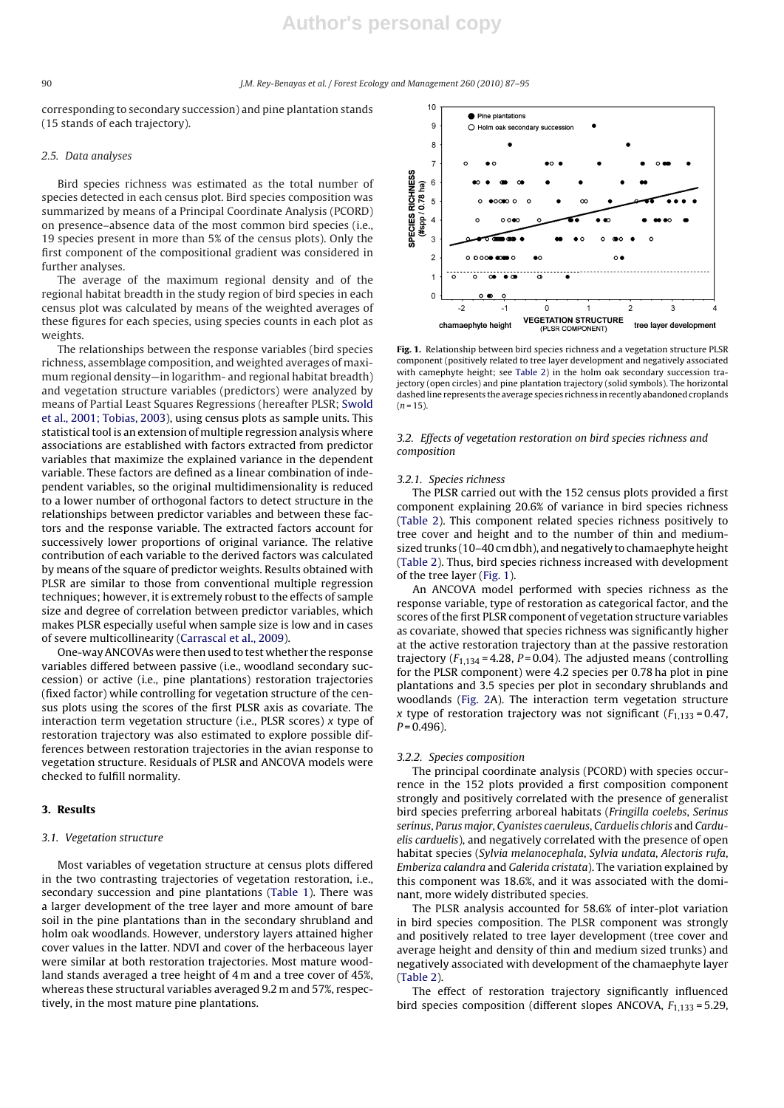#### 90 J.M. Rey-Benayas et al. / Forest Ecology and Management 260 (2010) 87–95

corresponding to secondary succession) and pine plantation stands (15 stands of each trajectory).

### 2.5. Data analyses

Bird species richness was estimated as the total number of species detected in each census plot. Bird species composition was summarized by means of a Principal Coordinate Analysis (PCORD) on presence–absence data of the most common bird species (i.e., 19 species present in more than 5% of the census plots). Only the first component of the compositional gradient was considered in further analyses.

The average of the maximum regional density and of the regional habitat breadth in the study region of bird species in each census plot was calculated by means of the weighted averages of these figures for each species, using species counts in each plot as weights.

The relationships between the response variables (bird species richness, assemblage composition, and weighted averages of maximum regional density—in logarithm- and regional habitat breadth) and vegetation structure variables (predictors) were analyzed by means of Partial Least Squares Regressions (hereafter PLSR; Swold et al., 2001; Tobias, 2003), using census plots as sample units. This statistical tool is an extension of multiple regression analysis where associations are established with factors extracted from predictor variables that maximize the explained variance in the dependent variable. These factors are defined as a linear combination of independent variables, so the original multidimensionality is reduced to a lower number of orthogonal factors to detect structure in the relationships between predictor variables and between these factors and the response variable. The extracted factors account for successively lower proportions of original variance. The relative contribution of each variable to the derived factors was calculated by means of the square of predictor weights. Results obtained with PLSR are similar to those from conventional multiple regression techniques; however, it is extremely robust to the effects of sample size and degree of correlation between predictor variables, which makes PLSR especially useful when sample size is low and in cases of severe multicollinearity (Carrascal et al., 2009).

One-way ANCOVAs were then used to test whether the response variables differed between passive (i.e., woodland secondary succession) or active (i.e., pine plantations) restoration trajectories (fixed factor) while controlling for vegetation structure of the census plots using the scores of the first PLSR axis as covariate. The interaction term vegetation structure (i.e., PLSR scores) x type of restoration trajectory was also estimated to explore possible differences between restoration trajectories in the avian response to vegetation structure. Residuals of PLSR and ANCOVA models were checked to fulfill normality.

### **3. Results**

### 3.1. Vegetation structure

Most variables of vegetation structure at census plots differed in the two contrasting trajectories of vegetation restoration, i.e., secondary succession and pine plantations (Table 1). There was a larger development of the tree layer and more amount of bare soil in the pine plantations than in the secondary shrubland and holm oak woodlands. However, understory layers attained higher cover values in the latter. NDVI and cover of the herbaceous layer were similar at both restoration trajectories. Most mature woodland stands averaged a tree height of 4 m and a tree cover of 45%, whereas these structural variables averaged 9.2 m and 57%, respectively, in the most mature pine plantations.



**Fig. 1.** Relationship between bird species richness and a vegetation structure PLSR component (positively related to tree layer development and negatively associated with camephyte height; see Table 2) in the holm oak secondary succession trajectory (open circles) and pine plantation trajectory (solid symbols). The horizontal dashed line represents the average species richness in recently abandoned croplands  $(n = 15)$ .

### 3.2. Effects of vegetation restoration on bird species richness and composition

### 3.2.1. Species richness

The PLSR carried out with the 152 census plots provided a first component explaining 20.6% of variance in bird species richness (Table 2). This component related species richness positively to tree cover and height and to the number of thin and mediumsized trunks (10–40 cm dbh), and negatively to chamaephyte height (Table 2). Thus, bird species richness increased with development of the tree layer (Fig. 1).

An ANCOVA model performed with species richness as the response variable, type of restoration as categorical factor, and the scores of the first PLSR component of vegetation structure variables as covariate, showed that species richness was significantly higher at the active restoration trajectory than at the passive restoration trajectory  $(F_{1,134} = 4.28, P = 0.04)$ . The adjusted means (controlling for the PLSR component) were 4.2 species per 0.78 ha plot in pine plantations and 3.5 species per plot in secondary shrublands and woodlands (Fig. 2A). The interaction term vegetation structure x type of restoration trajectory was not significant  $(F_{1,133} = 0.47)$ ,  $P = 0.496$ ).

#### 3.2.2. Species composition

The principal coordinate analysis (PCORD) with species occurrence in the 152 plots provided a first composition component strongly and positively correlated with the presence of generalist bird species preferring arboreal habitats (Fringilla coelebs, Serinus serinus, Parus major, Cyanistes caeruleus, Carduelis chloris and Carduelis carduelis), and negatively correlated with the presence of open habitat species (Sylvia melanocephala, Sylvia undata, Alectoris rufa, Emberiza calandra and Galerida cristata). The variation explained by this component was 18.6%, and it was associated with the dominant, more widely distributed species.

The PLSR analysis accounted for 58.6% of inter-plot variation in bird species composition. The PLSR component was strongly and positively related to tree layer development (tree cover and average height and density of thin and medium sized trunks) and negatively associated with development of the chamaephyte layer (Table 2).

The effect of restoration trajectory significantly influenced bird species composition (different slopes ANCOVA,  $F_{1,133} = 5.29$ ,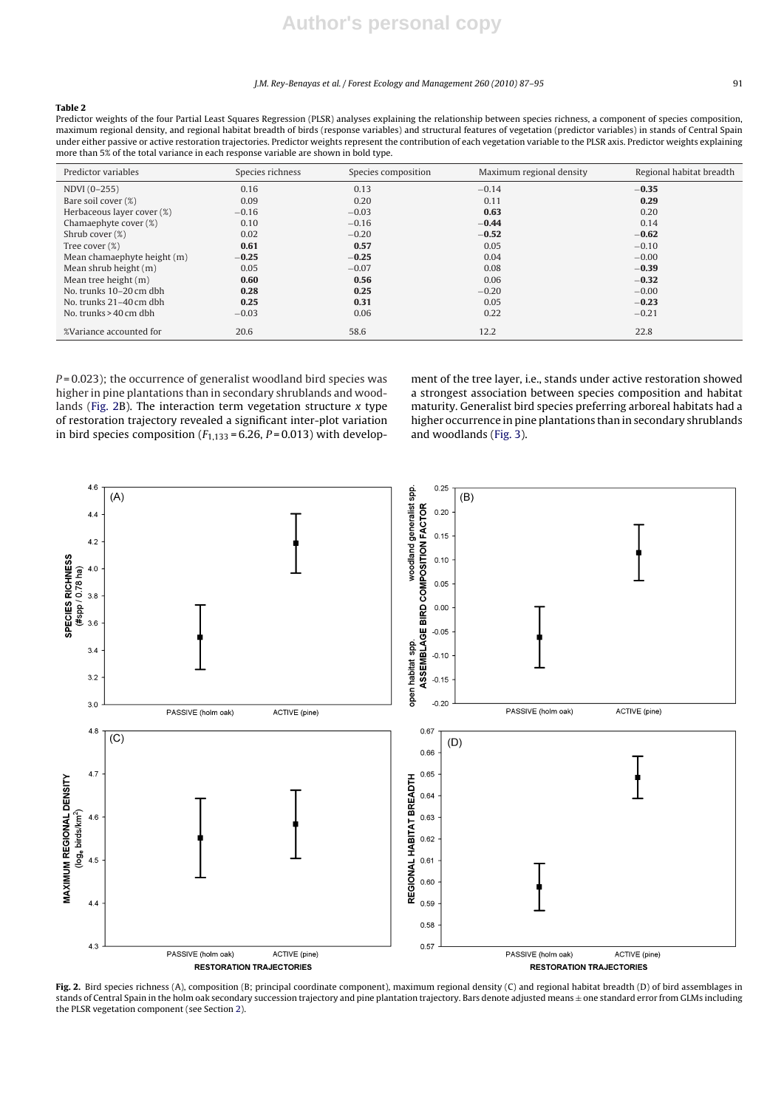#### J.M. Rey-Benayas et al. / Forest Ecology and Management 260 (2010) 87–95 91

### **Table 2**

Predictor weights of the four Partial Least Squares Regression (PLSR) analyses explaining the relationship between species richness, a component of species composition, maximum regional density, and regional habitat breadth of birds (response variables) and structural features of vegetation (predictor variables) in stands of Central Spain under either passive or active restoration trajectories. Predictor weights represent the contribution of each vegetation variable to the PLSR axis. Predictor weights explaining more than 5% of the total variance in each response variable are shown in bold type.

| Predictor variables         | Species richness | Species composition | Maximum regional density | Regional habitat breadth |
|-----------------------------|------------------|---------------------|--------------------------|--------------------------|
| NDVI (0-255)                | 0.16             | 0.13                | $-0.14$                  | $-0.35$                  |
| Bare soil cover (%)         | 0.09             | 0.20                | 0.11                     | 0.29                     |
| Herbaceous layer cover (%)  | $-0.16$          | $-0.03$             | 0.63                     | 0.20                     |
| Chamaephyte cover (%)       | 0.10             | $-0.16$             | $-0.44$                  | 0.14                     |
| Shrub cover (%)             | 0.02             | $-0.20$             | $-0.52$                  | $-0.62$                  |
| Tree cover $(\%)$           | 0.61             | 0.57                | 0.05                     | $-0.10$                  |
| Mean chamaephyte height (m) | $-0.25$          | $-0.25$             | 0.04                     | $-0.00$                  |
| Mean shrub height $(m)$     | 0.05             | $-0.07$             | 0.08                     | $-0.39$                  |
| Mean tree height $(m)$      | 0.60             | 0.56                | 0.06                     | $-0.32$                  |
| No. trunks 10-20 cm dbh     | 0.28             | 0.25                | $-0.20$                  | $-0.00$                  |
| No. trunks $21-40$ cm dbh   | 0.25             | 0.31                | 0.05                     | $-0.23$                  |
| No. trunks $> 40$ cm dbh    | $-0.03$          | 0.06                | 0.22                     | $-0.21$                  |
| %Variance accounted for     | 20.6             | 58.6                | 12.2                     | 22.8                     |

 $P = 0.023$ ); the occurrence of generalist woodland bird species was higher in pine plantations than in secondary shrublands and woodlands (Fig. 2B). The interaction term vegetation structure  $x$  type of restoration trajectory revealed a significant inter-plot variation in bird species composition ( $F_{1,133}$  = 6.26, P = 0.013) with development of the tree layer, i.e., stands under active restoration showed a strongest association between species composition and habitat maturity. Generalist bird species preferring arboreal habitats had a higher occurrence in pine plantations than in secondary shrublands and woodlands (Fig. 3).



Fig. 2. Bird species richness (A), composition (B; principal coordinate component), maximum regional density (C) and regional habitat breadth (D) of bird assemblages in stands of Central Spain in the holm oak secondary succession trajectory and pine plantation trajectory. Bars denote adjusted means ± one standard error from GLMs including the PLSR vegetation component (see Section 2).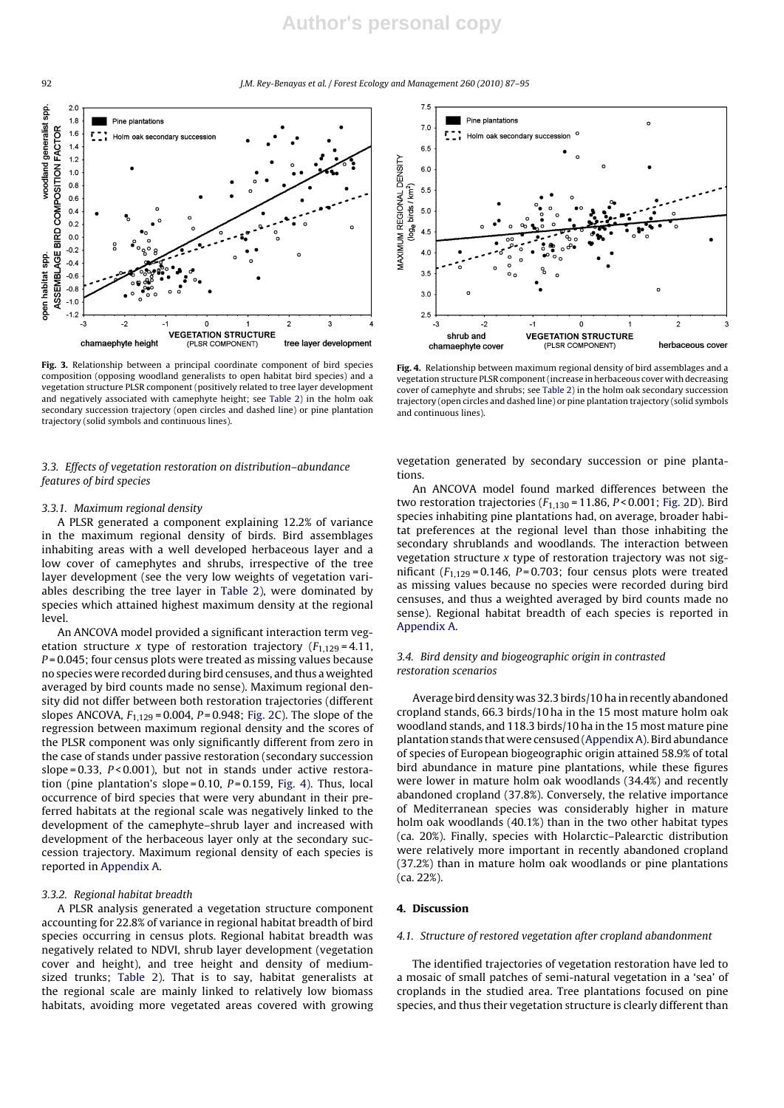92 J.M. Rey-Benayas et al. / Forest Ecology and Management 260 (2010) 87–95



**Fig. 3.** Relationship between a principal coordinate component of bird species composition (opposing woodland generalists to open habitat bird species) and a vegetation structure PLSR component (positively related to tree layer development and negatively associated with camephyte height; see Table 2) in the holm oak secondary succession trajectory (open circles and dashed line) or pine plantation trajectory (solid symbols and continuous lines).

### 3.3. Effects of vegetation restoration on distribution–abundance features of bird species

### 3.3.1. Maximum regional density

A PLSR generated a component explaining 12.2% of variance in the maximum regional density of birds. Bird assemblages inhabiting areas with a well developed herbaceous layer and a low cover of camephytes and shrubs, irrespective of the tree layer development (see the very low weights of vegetation variables describing the tree layer in Table 2), were dominated by species which attained highest maximum density at the regional level.

An ANCOVA model provided a significant interaction term vegetation structure x type of restoration trajectory  $(F_{1,129} = 4.11,$  $P = 0.045$ ; four census plots were treated as missing values because no species were recorded during bird censuses, and thus a weighted averaged by bird counts made no sense). Maximum regional density did not differ between both restoration trajectories (different slopes ANCOVA,  $F_{1,129} = 0.004$ ,  $P = 0.948$ ; Fig. 2C). The slope of the regression between maximum regional density and the scores of the PLSR component was only significantly different from zero in the case of stands under passive restoration (secondary succession slope =  $0.33$ ,  $P < 0.001$ ), but not in stands under active restoration (pine plantation's slope =  $0.10$ ,  $P = 0.159$ , Fig. 4). Thus, local occurrence of bird species that were very abundant in their preferred habitats at the regional scale was negatively linked to the development of the camephyte–shrub layer and increased with development of the herbaceous layer only at the secondary succession trajectory. Maximum regional density of each species is reported in Appendix A.

### 3.3.2. Regional habitat breadth

A PLSR analysis generated a vegetation structure component accounting for 22.8% of variance in regional habitat breadth of bird species occurring in census plots. Regional habitat breadth was negatively related to NDVI, shrub layer development (vegetation cover and height), and tree height and density of mediumsized trunks; Table 2). That is to say, habitat generalists at the regional scale are mainly linked to relatively low biomass habitats, avoiding more vegetated areas covered with growing



**Fig. 4.** Relationship between maximum regional density of bird assemblages and a vegetation structure PLSR component (increase in herbaceous cover with decreasing cover of camephyte and shrubs; see Table 2) in the holm oak secondary succession trajectory (open circles and dashed line) or pine plantation trajectory (solid symbols and continuous lines).

vegetation generated by secondary succession or pine plantations.

An ANCOVA model found marked differences between the two restoration trajectories  $(F<sub>1.130</sub> = 11.86, P < 0.001$ ; Fig. 2D). Bird species inhabiting pine plantations had, on average, broader habitat preferences at the regional level than those inhabiting the secondary shrublands and woodlands. The interaction between vegetation structure x type of restoration trajectory was not significant  $(F_{1,129} = 0.146, P = 0.703$ ; four census plots were treated as missing values because no species were recorded during bird censuses, and thus a weighted averaged by bird counts made no sense). Regional habitat breadth of each species is reported in Appendix A.

### 3.4. Bird density and biogeographic origin in contrasted restoration scenarios

Average bird density was 32.3 birds/10 ha in recently abandoned cropland stands, 66.3 birds/10 ha in the 15 most mature holm oak woodland stands, and 118.3 birds/10 ha in the 15 most mature pine plantation stands that were censused (Appendix A). Bird abundance of species of European biogeographic origin attained 58.9% of total bird abundance in mature pine plantations, while these figures were lower in mature holm oak woodlands (34.4%) and recently abandoned cropland (37.8%). Conversely, the relative importance of Mediterranean species was considerably higher in mature holm oak woodlands (40.1%) than in the two other habitat types (ca. 20%). Finally, species with Holarctic–Palearctic distribution were relatively more important in recently abandoned cropland (37.2%) than in mature holm oak woodlands or pine plantations (ca. 22%).

### **4. Discussion**

### 4.1. Structure of restored vegetation after cropland abandonment

The identified trajectories of vegetation restoration have led to a mosaic of small patches of semi-natural vegetation in a 'sea' of croplands in the studied area. Tree plantations focused on pine species, and thus their vegetation structure is clearly different than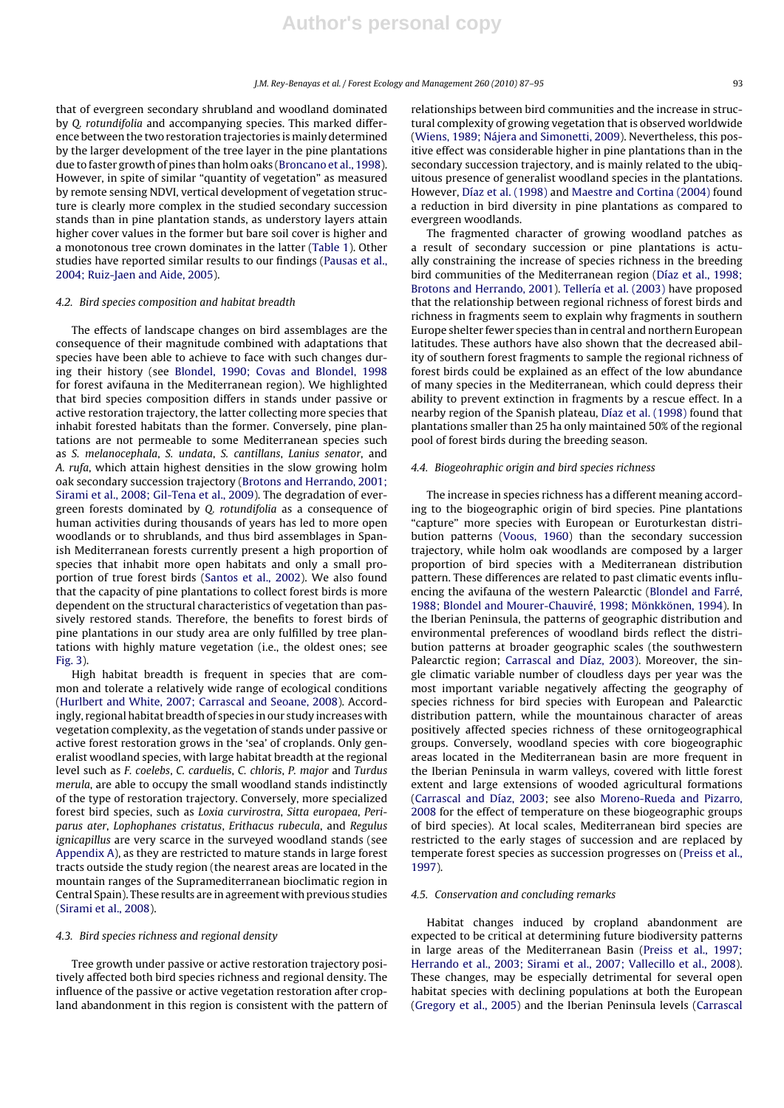that of evergreen secondary shrubland and woodland dominated by Q. rotundifolia and accompanying species. This marked difference between the two restoration trajectories is mainly determined by the larger development of the tree layer in the pine plantations due to faster growth of pines than holm oaks (Broncano et al., 1998). However, in spite of similar "quantity of vegetation" as measured by remote sensing NDVI, vertical development of vegetation structure is clearly more complex in the studied secondary succession stands than in pine plantation stands, as understory layers attain higher cover values in the former but bare soil cover is higher and a monotonous tree crown dominates in the latter (Table 1). Other studies have reported similar results to our findings (Pausas et al., 2004; Ruiz-Jaen and Aide, 2005).

### 4.2. Bird species composition and habitat breadth

The effects of landscape changes on bird assemblages are the consequence of their magnitude combined with adaptations that species have been able to achieve to face with such changes during their history (see Blondel, 1990; Covas and Blondel, 1998 for forest avifauna in the Mediterranean region). We highlighted that bird species composition differs in stands under passive or active restoration trajectory, the latter collecting more species that inhabit forested habitats than the former. Conversely, pine plantations are not permeable to some Mediterranean species such as S. melanocephala, S. undata, S. cantillans, Lanius senator, and A. rufa, which attain highest densities in the slow growing holm oak secondary succession trajectory (Brotons and Herrando, 2001; Sirami et al., 2008; Gil-Tena et al., 2009). The degradation of evergreen forests dominated by Q. rotundifolia as a consequence of human activities during thousands of years has led to more open woodlands or to shrublands, and thus bird assemblages in Spanish Mediterranean forests currently present a high proportion of species that inhabit more open habitats and only a small proportion of true forest birds (Santos et al., 2002). We also found that the capacity of pine plantations to collect forest birds is more dependent on the structural characteristics of vegetation than passively restored stands. Therefore, the benefits to forest birds of pine plantations in our study area are only fulfilled by tree plantations with highly mature vegetation (i.e., the oldest ones; see Fig. 3).

High habitat breadth is frequent in species that are common and tolerate a relatively wide range of ecological conditions (Hurlbert and White, 2007; Carrascal and Seoane, 2008). Accordingly, regional habitat breadth of species in our study increases with vegetation complexity, as the vegetation of stands under passive or active forest restoration grows in the 'sea' of croplands. Only generalist woodland species, with large habitat breadth at the regional level such as F. coelebs, C. carduelis, C. chloris, P. major and Turdus merula, are able to occupy the small woodland stands indistinctly of the type of restoration trajectory. Conversely, more specialized forest bird species, such as Loxia curvirostra, Sitta europaea, Periparus ater, Lophophanes cristatus, Erithacus rubecula, and Regulus ignicapillus are very scarce in the surveyed woodland stands (see Appendix A), as they are restricted to mature stands in large forest tracts outside the study region (the nearest areas are located in the mountain ranges of the Supramediterranean bioclimatic region in Central Spain). These results are in agreement with previous studies (Sirami et al., 2008).

### 4.3. Bird species richness and regional density

Tree growth under passive or active restoration trajectory positively affected both bird species richness and regional density. The influence of the passive or active vegetation restoration after cropland abandonment in this region is consistent with the pattern of relationships between bird communities and the increase in structural complexity of growing vegetation that is observed worldwide (Wiens, 1989; Nájera and Simonetti, 2009). Nevertheless, this positive effect was considerable higher in pine plantations than in the secondary succession trajectory, and is mainly related to the ubiquitous presence of generalist woodland species in the plantations. However, Díaz et al. (1998) and Maestre and Cortina (2004) found a reduction in bird diversity in pine plantations as compared to evergreen woodlands.

The fragmented character of growing woodland patches as a result of secondary succession or pine plantations is actually constraining the increase of species richness in the breeding bird communities of the Mediterranean region (Díaz et al., 1998; Brotons and Herrando, 2001). Tellería et al. (2003) have proposed that the relationship between regional richness of forest birds and richness in fragments seem to explain why fragments in southern Europe shelter fewer species than in central and northern European latitudes. These authors have also shown that the decreased ability of southern forest fragments to sample the regional richness of forest birds could be explained as an effect of the low abundance of many species in the Mediterranean, which could depress their ability to prevent extinction in fragments by a rescue effect. In a nearby region of the Spanish plateau, Díaz et al. (1998) found that plantations smaller than 25 ha only maintained 50% of the regional pool of forest birds during the breeding season.

### 4.4. Biogeohraphic origin and bird species richness

The increase in species richness has a different meaning according to the biogeographic origin of bird species. Pine plantations "capture" more species with European or Euroturkestan distribution patterns (Voous, 1960) than the secondary succession trajectory, while holm oak woodlands are composed by a larger proportion of bird species with a Mediterranean distribution pattern. These differences are related to past climatic events influencing the avifauna of the western Palearctic (Blondel and Farré, 1988; Blondel and Mourer-Chauviré, 1998; Mönkkönen, 1994). In the Iberian Peninsula, the patterns of geographic distribution and environmental preferences of woodland birds reflect the distribution patterns at broader geographic scales (the southwestern Palearctic region; Carrascal and Díaz, 2003). Moreover, the single climatic variable number of cloudless days per year was the most important variable negatively affecting the geography of species richness for bird species with European and Palearctic distribution pattern, while the mountainous character of areas positively affected species richness of these ornitogeographical groups. Conversely, woodland species with core biogeographic areas located in the Mediterranean basin are more frequent in the Iberian Peninsula in warm valleys, covered with little forest extent and large extensions of wooded agricultural formations (Carrascal and Díaz, 2003; see also Moreno-Rueda and Pizarro, 2008 for the effect of temperature on these biogeographic groups of bird species). At local scales, Mediterranean bird species are restricted to the early stages of succession and are replaced by temperate forest species as succession progresses on (Preiss et al., 1997).

#### 4.5. Conservation and concluding remarks

Habitat changes induced by cropland abandonment are expected to be critical at determining future biodiversity patterns in large areas of the Mediterranean Basin (Preiss et al., 1997; Herrando et al., 2003; Sirami et al., 2007; Vallecillo et al., 2008). These changes, may be especially detrimental for several open habitat species with declining populations at both the European (Gregory et al., 2005) and the Iberian Peninsula levels (Carrascal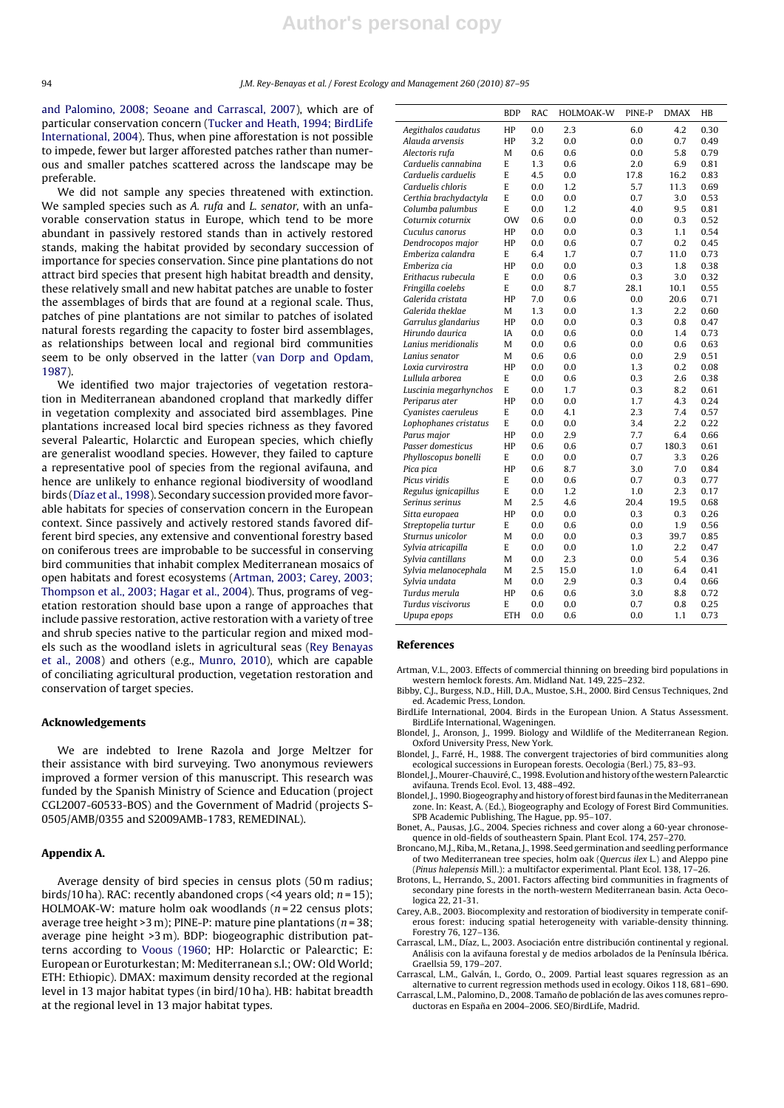## **Author's personal copy**

#### 94 J.M. Rey-Benayas et al. / Forest Ecology and Management 260 (2010) 87–95

and Palomino, 2008; Seoane and Carrascal, 2007), which are of particular conservation concern (Tucker and Heath, 1994; BirdLife International, 2004). Thus, when pine afforestation is not possible to impede, fewer but larger afforested patches rather than numerous and smaller patches scattered across the landscape may be preferable.

We did not sample any species threatened with extinction. We sampled species such as A. rufa and L. senator, with an unfavorable conservation status in Europe, which tend to be more abundant in passively restored stands than in actively restored stands, making the habitat provided by secondary succession of importance for species conservation. Since pine plantations do not attract bird species that present high habitat breadth and density, these relatively small and new habitat patches are unable to foster the assemblages of birds that are found at a regional scale. Thus, patches of pine plantations are not similar to patches of isolated natural forests regarding the capacity to foster bird assemblages, as relationships between local and regional bird communities seem to be only observed in the latter (van Dorp and Opdam, 1987).

We identified two major trajectories of vegetation restoration in Mediterranean abandoned cropland that markedly differ in vegetation complexity and associated bird assemblages. Pine plantations increased local bird species richness as they favored several Paleartic, Holarctic and European species, which chiefly are generalist woodland species. However, they failed to capture a representative pool of species from the regional avifauna, and hence are unlikely to enhance regional biodiversity of woodland birds (Díaz et al., 1998). Secondary succession provided more favorable habitats for species of conservation concern in the European context. Since passively and actively restored stands favored different bird species, any extensive and conventional forestry based on coniferous trees are improbable to be successful in conserving bird communities that inhabit complex Mediterranean mosaics of open habitats and forest ecosystems (Artman, 2003; Carey, 2003; Thompson et al., 2003; Hagar et al., 2004). Thus, programs of vegetation restoration should base upon a range of approaches that include passive restoration, active restoration with a variety of tree and shrub species native to the particular region and mixed models such as the woodland islets in agricultural seas (Rey Benayas et al., 2008) and others (e.g., Munro, 2010), which are capable of conciliating agricultural production, vegetation restoration and conservation of target species.

### **Acknowledgements**

We are indebted to Irene Razola and Jorge Meltzer for their assistance with bird surveying. Two anonymous reviewers improved a former version of this manuscript. This research was funded by the Spanish Ministry of Science and Education (project CGL2007-60533-BOS) and the Government of Madrid (projects S-0505/AMB/0355 and S2009AMB-1783, REMEDINAL).

### **Appendix A.**

Average density of bird species in census plots (50 m radius; birds/10 ha). RAC: recently abandoned crops (<4 years old;  $n = 15$ ); HOLMOAK-W: mature holm oak woodlands ( $n = 22$  census plots; average tree height > 3 m); PINE-P: mature pine plantations ( $n = 38$ ; average pine height >3 m). BDP: biogeographic distribution patterns according to Voous (1960; HP: Holarctic or Palearctic; E: European or Euroturkestan; M: Mediterranean s.l.; OW: Old World; ETH: Ethiopic). DMAX: maximum density recorded at the regional level in 13 major habitat types (in bird/10 ha). HB: habitat breadth at the regional level in 13 major habitat types.

|                                | <b>BDP</b> | <b>RAC</b> | HOLMOAK-W | PINE-P | <b>DMAX</b> | <b>HB</b> |
|--------------------------------|------------|------------|-----------|--------|-------------|-----------|
| Aegithalos caudatus            | HP         | 0.0        | 2.3       | 6.0    | 4.2         | 0.30      |
| Alauda arvensis                | HP         | 3.2        | 0.0       | 0.0    | 0.7         | 0.49      |
| Alectoris rufa                 | M          | 0.6        | 0.6       | 0.0    | 5.8         | 0.79      |
| Carduelis cannabina            | E          | 1.3        | 0.6       | 2.0    | 6.9         | 0.81      |
| Carduelis carduelis            | E          | 4.5        | 0.0       | 17.8   | 16.2        | 0.83      |
| Carduelis chloris              | E          | 0.0        | 1.2       | 5.7    | 11.3        | 0.69      |
| Certhia brachydactyla          | E          | 0.0        | 0.0       | 0.7    | 3.0         | 0.53      |
| Columba palumbus               | E          | 0.0        | 1.2       | 4.0    | 9.5         | 0.81      |
| Coturnix coturnix              | <b>OW</b>  | 0.6        | $_{0.0}$  | 0.0    | 0.3         | 0.52      |
| Cuculus canorus                | HP         | 0.0        | 0.0       | 0.3    | 1.1         | 0.54      |
| Dendrocopos major              | HP         | 0.0        | 0.6       | 0.7    | 0.2         | 0.45      |
| Emberiza calandra              | E          | 6.4        | 1.7       | 0.7    | 11.0        | 0.73      |
| Emberiza cia                   | HP         | 0.0        | 0.0       | 0.3    | 1.8         | 0.38      |
| Erithacus rubecula             | E          | 0.0        | 0.6       | 0.3    | 3.0         | 0.32      |
| Fringilla coelebs              | E          | 0.0        | 8.7       | 28.1   | 10.1        | 0.55      |
| Galerida cristata              | HP         | 7.0        | 0.6       | 0.0    | 20.6        | 0.71      |
| Galerida theklae               | M          | 1.3        | 0.0       | 1.3    | 2.2         | 0.60      |
| Garrulus glandarius            | HP         | 0.0        | 0.0       | 0.3    | 0.8         | 0.47      |
| Hirundo daurica                | ΙA         | 0.0        | 0.6       | 0.0    | 1.4         | 0.73      |
| Lanius meridionalis            | M          | 0.0        | 0.6       | 0.0    | 0.6         | 0.63      |
| Lanius senator                 | M          | 0.6        | 0.6       | 0.0    | 2.9         | 0.51      |
| Loxia curvirostra              | HP         | 0.0        | 0.0       | 1.3    | 0.2         | 0.08      |
| Lullula arborea                | E          | 0.0        | 0.6       | 0.3    | 2.6         | 0.38      |
| Luscinia megarhynchos          | E          | 0.0        | 1.7       | 0.3    | 8.2         | 0.61      |
| Periparus ater                 | HP         | 0.0        | 0.0       | 1.7    | 4.3         | 0.24      |
| Cyanistes caeruleus            | E          | 0.0        | 4.1       | 2.3    | 7.4         | 0.57      |
| Lophophanes cristatus          | E          | 0.0        | 0.0       | 3.4    | 2.2         | 0.22      |
| Parus major                    | HP         | 0.0        | 2.9       | 7.7    | 6.4         | 0.66      |
| Passer domesticus              | HP         | 0.6        | 0.6       | 0.7    | 180.3       | 0.61      |
| Phylloscopus bonelli           | E          | 0.0        | 0.0       | 0.7    | 3.3         | 0.26      |
| Pica pica                      | HP         | 0.6        | 8.7       | 3.0    | 7.0         | 0.84      |
| Picus viridis                  | E          | 0.0        | 0.6       | 0.7    | 0.3         | 0.77      |
| Regulus ignicapillus           | E          | 0.0        | 1.2       | 1.0    | 2.3         | 0.17      |
| Serinus serinus                | M          | 2.5        | 4.6       | 20.4   | 19.5        | 0.68      |
| Sitta europaea                 | HP         | 0.0        | 0.0       | 0.3    | 0.3         | 0.26      |
| Streptopelia turtur            | E          | 0.0        | 0.6       | 0.0    | 1.9         | 0.56      |
| Sturnus unicolor               | M          | 0.0        | 0.0       | 0.3    | 39.7        | 0.85      |
| Sylvia atricapilla             | E          | 0.0        | 0.0       | 1.0    | 2.2         | 0.47      |
|                                | M          |            |           |        | 5.4         |           |
| Sylvia cantillans              |            | 0.0        | 2.3       | 0.0    |             | 0.36      |
| Sylvia melanocephala           | M          | 2.5        | 15.0      | 1.0    | 6.4         | 0.41      |
| Sylvia undata<br>Turdus merula | M          | 0.0        | 2.9       | 0.3    | 0.4         | 0.66      |
|                                | HP         | 0.6        | 0.6       | 3.0    | 8.8         | 0.72      |
| Turdus viscivorus              | E          | 0.0        | 0.0       | 0.7    | 0.8         | 0.25      |
| Upupa epops                    | <b>ETH</b> | 0.0        | 0.6       | 0.0    | 1.1         | 0.73      |

#### **References**

Artman, V.L., 2003. Effects of commercial thinning on breeding bird populations in western hemlock forests. Am. Midland Nat. 149, 225–232.

- Bibby, C.J., Burgess, N.D., Hill, D.A., Mustoe, S.H., 2000. Bird Census Techniques, 2nd ed. Academic Press, London. BirdLife International, 2004. Birds in the European Union. A Status Assessment.
- BirdLife International, Wageningen.
- Blondel, J., Aronson, J., 1999. Biology and Wildlife of the Mediterranean Region. Oxford University Press, New York.
- Blondel, J., Farré, H., 1988. The convergent trajectories of bird communities along ecological successions in European forests. Oecologia (Berl.) 75, 83–93.
- Blondel, J., Mourer-Chauviré, C., 1998. Evolution and history of the western Palearctic avifauna. Trends Ecol. Evol. 13, 488–492.
- Blondel, J., 1990. Biogeography and history of forest bird faunas in the Mediterranean zone. In: Keast, A. (Ed.), Biogeography and Ecology of Forest Bird Communities. SPB Academic Publishing, The Hague, pp. 95–107.
- Bonet, A., Pausas, J.G., 2004. Species richness and cover along a 60-year chronosequence in old-fields of southeastern Spain. Plant Ecol. 174, 257–270.
- Broncano, M.J., Riba, M., Retana, J., 1998. Seed germination and seedling performance of two Mediterranean tree species, holm oak (Quercus ilex L.) and Aleppo pine (Pinus halepensis Mill.): a multifactor experimental. Plant Ecol. 138, 17–26.
- Brotons, L., Herrando, S., 2001. Factors affecting bird communities in fragments of secondary pine forests in the north-western Mediterranean basin. Acta Oecologica 22, 21-31.
- Carey, A.B., 2003. Biocomplexity and restoration of biodiversity in temperate coniferous forest: inducing spatial heterogeneity with variable-density thinning. Forestry 76, 127–136.
- Carrascal, L.M., Díaz, L., 2003. Asociación entre distribución continental y regional. Análisis con la avifauna forestal y de medios arbolados de la Península Ibérica. Graellsia 59, 179–207.
- Carrascal, L.M., Galván, I., Gordo, O., 2009. Partial least squares regression as an alternative to current regression methods used in ecology. Oikos 118, 681–690.
- Carrascal, L.M., Palomino, D., 2008. Tamaño de población de las aves comunes reproductoras en España en 2004–2006. SEO/BirdLife, Madrid.